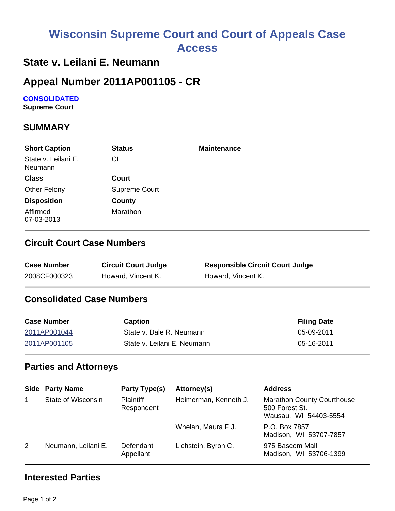# **Wisconsin Supreme Court and Court of Appeals Case Access**

### **State v. Leilani E. Neumann**

### **Appeal Number 2011AP001105 - CR**

# **CONSOLIDATED**

**Supreme Court** 

#### **SUMMARY**

| <b>Short Caption</b>           | <b>Status</b> | <b>Maintenance</b> |
|--------------------------------|---------------|--------------------|
| State v. Leilani E.<br>Neumann | CL            |                    |
| <b>Class</b>                   | Court         |                    |
| <b>Other Felony</b>            | Supreme Court |                    |
| <b>Disposition</b>             | County        |                    |
| Affirmed<br>07-03-2013         | Marathon      |                    |

#### **Circuit Court Case Numbers**

| <b>Case Number</b> | <b>Circuit Court Judge</b> | <b>Responsible Circuit Court Judge</b> |
|--------------------|----------------------------|----------------------------------------|
| 2008CF000323       | Howard, Vincent K.         | Howard, Vincent K.                     |

#### **Consolidated Case Numbers**

| <b>Case Number</b> | <b>Caption</b>              | <b>Filing Date</b> |
|--------------------|-----------------------------|--------------------|
| 2011AP001044       | State v. Dale R. Neumann    | 05-09-2011         |
| 2011AP001105       | State v. Leilani E. Neumann | 05-16-2011         |

#### **Parties and Attorneys**

|             | <b>Side Party Name</b> | Party Type(s)                  | Attorney(s)           | <b>Address</b>                                                               |
|-------------|------------------------|--------------------------------|-----------------------|------------------------------------------------------------------------------|
| $\mathbf 1$ | State of Wisconsin     | <b>Plaintiff</b><br>Respondent | Heimerman, Kenneth J. | <b>Marathon County Courthouse</b><br>500 Forest St.<br>Wausau, WI 54403-5554 |
|             |                        |                                | Whelan, Maura F.J.    | P.O. Box 7857<br>Madison, WI 53707-7857                                      |
| 2           | Neumann, Leilani E.    | Defendant<br>Appellant         | Lichstein, Byron C.   | 975 Bascom Mall<br>Madison, WI 53706-1399                                    |

#### **Interested Parties**